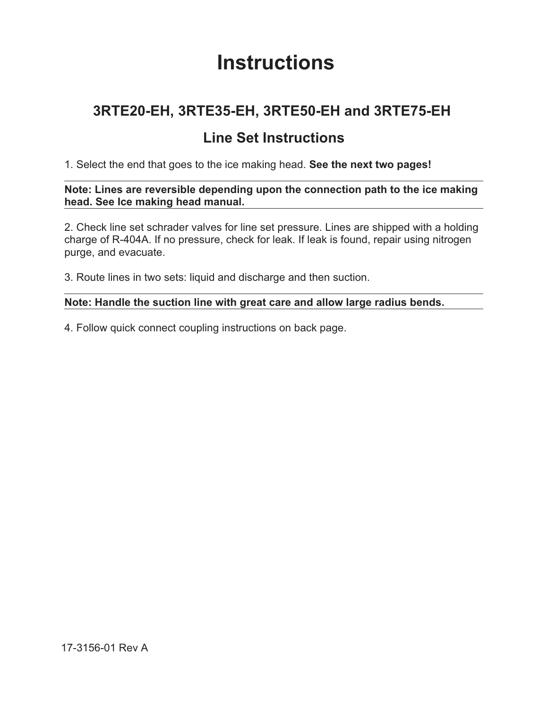# **Instructions**

## **3RTE20-EH, 3RTE35-EH, 3RTE50-EH and 3RTE75-EH**

### **Line Set Instructions**

1. Select the end that goes to the ice making head. **See the next two pages!**

**Note: Lines are reversible depending upon the connection path to the ice making head. See Ice making head manual.**

2. Check line set schrader valves for line set pressure. Lines are shipped with a holding charge of R-404A. If no pressure, check for leak. If leak is found, repair using nitrogen purge, and evacuate.

3. Route lines in two sets: liquid and discharge and then suction.

#### **Note: Handle the suction line with great care and allow large radius bends.**

4. Follow quick connect coupling instructions on back page.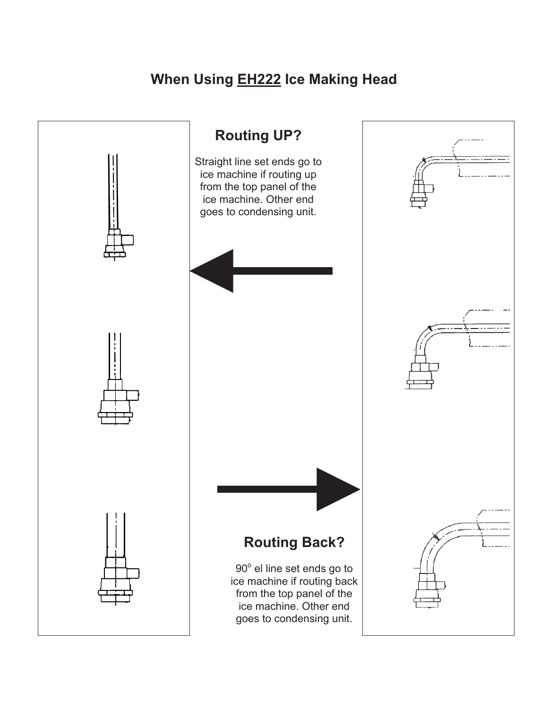# **When Using EH222 Ice Making Head**

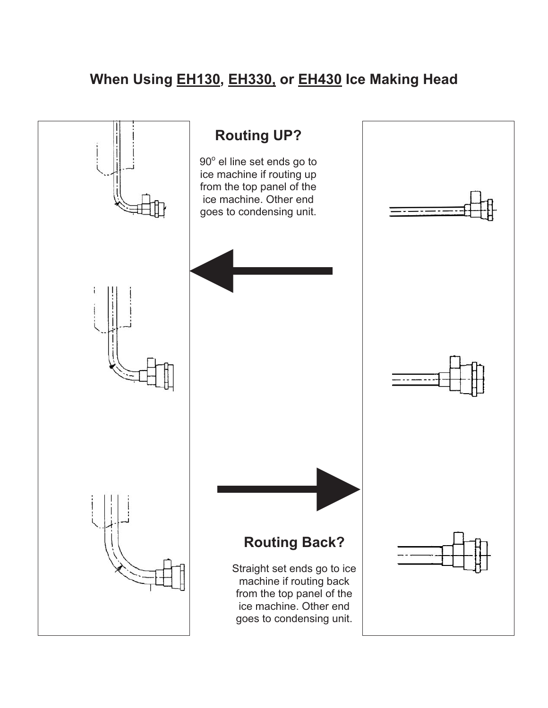# **When Using EH130, EH330, or EH430 Ice Making Head**